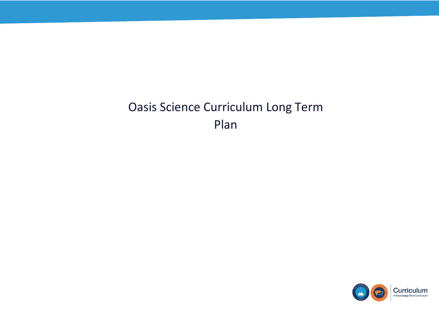## Oasis Science Curriculum Long Term Plan



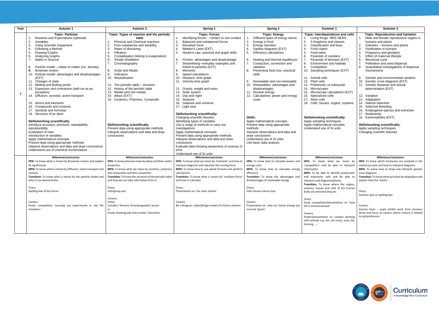| Year           | <b>Autumn 1</b>                                                                                                                                                                                                                                                                                                                                                                                                                                                                                                                                                                                                                                                                                                                                                                                                                                                                                                                                                                                                           | Autumn 2                                                                                                                                                                                                                                                                                                                                                                                                                                                                                                                                                                                                                                                                  | Spring 1                                                                                                                                                                                                                                                                                                                                                                                                                                                                                                                                                                                                                                                                                                                                                                                                                                                                                                                                     | Spring 2                                                                                                                                                                                                                                                                                                                                                                                                                                                                                                                                                                                                                                                                                                                   | Summer 1                                                                                                                                                                                                                                                                                                                                                                                                                                                                                                                                                                                                                                                                       | Summer 2                                                                                                                                                                                                                                                                                                                                                                                                                                                                                                                                                                                                                                                                                                                                                                                                                      |
|----------------|---------------------------------------------------------------------------------------------------------------------------------------------------------------------------------------------------------------------------------------------------------------------------------------------------------------------------------------------------------------------------------------------------------------------------------------------------------------------------------------------------------------------------------------------------------------------------------------------------------------------------------------------------------------------------------------------------------------------------------------------------------------------------------------------------------------------------------------------------------------------------------------------------------------------------------------------------------------------------------------------------------------------------|---------------------------------------------------------------------------------------------------------------------------------------------------------------------------------------------------------------------------------------------------------------------------------------------------------------------------------------------------------------------------------------------------------------------------------------------------------------------------------------------------------------------------------------------------------------------------------------------------------------------------------------------------------------------------|----------------------------------------------------------------------------------------------------------------------------------------------------------------------------------------------------------------------------------------------------------------------------------------------------------------------------------------------------------------------------------------------------------------------------------------------------------------------------------------------------------------------------------------------------------------------------------------------------------------------------------------------------------------------------------------------------------------------------------------------------------------------------------------------------------------------------------------------------------------------------------------------------------------------------------------------|----------------------------------------------------------------------------------------------------------------------------------------------------------------------------------------------------------------------------------------------------------------------------------------------------------------------------------------------------------------------------------------------------------------------------------------------------------------------------------------------------------------------------------------------------------------------------------------------------------------------------------------------------------------------------------------------------------------------------|--------------------------------------------------------------------------------------------------------------------------------------------------------------------------------------------------------------------------------------------------------------------------------------------------------------------------------------------------------------------------------------------------------------------------------------------------------------------------------------------------------------------------------------------------------------------------------------------------------------------------------------------------------------------------------|-------------------------------------------------------------------------------------------------------------------------------------------------------------------------------------------------------------------------------------------------------------------------------------------------------------------------------------------------------------------------------------------------------------------------------------------------------------------------------------------------------------------------------------------------------------------------------------------------------------------------------------------------------------------------------------------------------------------------------------------------------------------------------------------------------------------------------|
| $\overline{7}$ | <b>Topic: Particles</b><br>Routines and Expectations (optional)<br>2.<br>Variables<br>3.<br><b>Using Scientific Equipment</b><br>Following a Method<br><b>Drawing Graphs</b><br>5.<br>Analysing Graphs<br>6.<br>Maths in Science<br>7.<br>Particle model – states of matter (inc. density)<br>9.<br><b>Brownian motion</b><br>10. Particle model- advantages and disadvantages<br>(EXT)<br>11. Changes of state<br>12. Melting and Boiling points<br>13. Expansion and contraction (with ice as an<br>exception)<br>14. Diffusion, osmosis, active transport<br>15. Atoms and elements<br>16. Compounds and mixtures<br>17. Symbols and formulae<br>18. Structure of an atom<br><b>Skills/working scientifically:</b><br>Introduce accuracy, precision, repeatability,<br>reproducibility<br>Evaluation of risks<br>Introduction of variables<br>Apply mathematical concepts<br>Present data using appropriate methods<br>Interpret observations and data and draw conclusions<br>Understand use of chemical nomenclature | Topic: Types of reaction and the periodic<br>table<br>Physical and Chemical reactions<br>2.<br>Pure substances and solubility<br>Rates of dissolving<br>3.<br>4.<br>Filtration<br>Crystallisation (linking to evaporation)<br>5.<br>Simple Distillation<br>6.<br>7.<br>Chromatography<br>Acids and Alkalis<br>8.<br>9.<br>Indicators<br>10. Neutralisation<br>11. The periodic table – structure<br>12. History of the periodic table<br>13. Metals and non-metals<br>14. Alloys (EXT)<br>15. Ceramics, Polymers, Composite<br><b>Skills/working scientifically:</b><br>Present data using appropriate methods<br>Interpret observations and data and draw<br>conclusions | <b>Topic: Forces</b><br>Identifying forces - contact vs non-contact<br>2.<br>Balanced and unbalanced forces<br><b>Resultant force</b><br>Newton's Laws (EXT)<br>5.<br>Hooke's Law- practical and graph skills<br>Friction- advantages and disadvantage<br>6.<br>Streamlining- everyday examples and<br>linked to particles (EXT)<br>Moments<br>8.<br>Speed calculations<br>9<br>10. Distance- time graph<br>11. Velocity-time graph<br>12. Gravity, weight and mass<br>13. Solar system<br>14. Day and night<br>15. Seasons<br>16. Galaxies and universe<br>17. Light year<br><b>Skills/working scientifically:</b><br>Changing scientific theories<br>Identifying types of variables<br>Use a range of methods to carry out<br>investigations<br>Apply mathematical concepts<br>Present data using appropriate methods<br>Interpret observations and data and draw<br>conclusions<br>Evaluate data showing awareness of sources of<br>error | <b>Topic: Energy</b><br>Different types of energy stores<br>2.<br>Energy in food<br>3.<br>Energy transfers<br>$\overline{4}$<br>Sankey diagrams (EXT)<br><b>Efficiency calculations</b><br>5.<br>Heating and thermal equilibrium<br>6.<br>7 <sub>1</sub><br>Conduction, convection and<br>radiation<br>Preventing heat loss- practical<br>8.<br>skills<br>Renewable and non-renewable<br>9.<br>Renewables- advantages and<br>disadvantages<br>11. Nuclear energy<br>12. Calculations: power and energy<br>costs<br>Skills:<br>Apply mathematical concepts<br>Present data using appropriate<br>methods<br>Interpret observations and data and<br>draw conclusions<br>Understand use of SI units<br>Use basic data analysis | Topic: Interdependence and cells<br>1. Living things: MRS NERG<br>2.<br>5 Kingdoms and classes<br>Classification and keys<br>3.<br>Food chains<br>5.<br>Food webs<br>Pyramids of numbers<br>6.<br>Pyramids of biomass (EXT)<br>7.<br>Environment and habitats<br>8.<br>9.<br>Competition<br>10. Sampling techniques (EXT)<br>11. Animal cells<br>12. Plant cells<br>13. Prokaryotic vs eukaryotic<br>14. Microscopes<br>15. Microscope calculations (EXT)<br>16. Specialised cells<br>17. Stem cells<br>18. Cells, tissues, organs, systems<br><b>Skills/working scientifically:</b><br>Apply sampling techniques<br>Apply mathematical concepts<br>Understand use of SI units | <b>Topic: Reproduction and Variation</b><br>Male and female reproductive organs in<br>humans and plants<br>Gametes - humans and plants<br>Fertilisation in humans<br>3.<br>Pregnancy and gestation<br>$\overline{4}$<br>Effect of maternal lifestyle<br>5.<br>6.<br>Menstrual cycle<br>Pollination and seed dispersal<br>7.<br>Quantitative investigations of dispersal<br>8.<br>mechanisms<br>Genetic and environmental variation<br>9.<br>10.<br>Genetic cross diagrams (EXT)<br>11. Genetic diseases and sexual<br>determination (EXT)<br>12. Variation<br>13. Adaptation<br>14. Natural Selection<br>15. Selective Breeding<br>16. Endangered species and extinction<br>17. Biodiversity<br>18. Extremophiles (EXT)<br><b>Skills/working scientifically:</b><br>Apply sampling techniques<br>Changing scientific theories |
|                | Milestones/outcomes:                                                                                                                                                                                                                                                                                                                                                                                                                                                                                                                                                                                                                                                                                                                                                                                                                                                                                                                                                                                                      | Milestones/outcomes:                                                                                                                                                                                                                                                                                                                                                                                                                                                                                                                                                                                                                                                      | Understand use of SI units<br>Milestones/outcomes:                                                                                                                                                                                                                                                                                                                                                                                                                                                                                                                                                                                                                                                                                                                                                                                                                                                                                           | Milestones/outcomes:                                                                                                                                                                                                                                                                                                                                                                                                                                                                                                                                                                                                                                                                                                       | Milestones/outcomes:                                                                                                                                                                                                                                                                                                                                                                                                                                                                                                                                                                                                                                                           | Milestones/outcomes:                                                                                                                                                                                                                                                                                                                                                                                                                                                                                                                                                                                                                                                                                                                                                                                                          |
|                | HPA: To know what is meant by Brownian motion and explain                                                                                                                                                                                                                                                                                                                                                                                                                                                                                                                                                                                                                                                                                                                                                                                                                                                                                                                                                                 | HPA: To know what we mean by alloys and their useful                                                                                                                                                                                                                                                                                                                                                                                                                                                                                                                                                                                                                      | HPA: To know what we mean by 'moments' and how to                                                                                                                                                                                                                                                                                                                                                                                                                                                                                                                                                                                                                                                                                                                                                                                                                                                                                            | HPA: To know how to calculate power and                                                                                                                                                                                                                                                                                                                                                                                                                                                                                                                                                                                                                                                                                    | HPA: To know what we mean by                                                                                                                                                                                                                                                                                                                                                                                                                                                                                                                                                                                                                                                   | HPA: To know which hormones are involved in the                                                                                                                                                                                                                                                                                                                                                                                                                                                                                                                                                                                                                                                                                                                                                                               |
|                | its significance<br>MPA: To know what is meant by diffusion, active transport and<br>osmosis<br>Transition: To know what is meant by the particle model and<br>what it can demonstrate<br>Oracy:<br>Spelling bee of key terms<br>Careers:<br>Poster competition 'carrying out experiments in real life<br>situations'                                                                                                                                                                                                                                                                                                                                                                                                                                                                                                                                                                                                                                                                                                     | properties<br>MPA: To know what we mean by ceramics, polymers<br>and composites and their properties<br>Transition: To know the structure of the periodic table<br>and how we can take information from it<br>Oracy:<br>Intergroup quiz<br>Careers:<br>Either:<br>Include a 'forensic chromatography' lesson<br>Poster showing jobs that involve 'chemistry'                                                                                                                                                                                                                                                                                                              | interpret diagrams and calculate the turning force<br>MPA: To know how to use speed formula and perform<br>calculations<br>Transition: To know what is meant by 'resultant force'<br>and how to calculate<br>Oracy:<br>Presentation on 'our solar system'<br>Careers:<br>Be a designer- make/design model of a future vehicle!                                                                                                                                                                                                                                                                                                                                                                                                                                                                                                                                                                                                               | energy costs<br>MPA: To know how to calculate energy<br>efficiencv<br>Transition: To know the advantages and<br>disadvantages of renewable energy<br>Oracy:<br>Inter-house science quiz<br>Careers<br>Presentation on -why our future energy use<br>must be 'green'.                                                                                                                                                                                                                                                                                                                                                                                                                                                       | 'competition' and be able to interpret<br>information<br>MPA: To be able to identify prokaryotic<br>and eukaryotic cells and be able to<br>interpret said diagrams/photos<br>Transition: To know where the organs,<br>systems, tissues and cells of the human<br>body are and what they do.<br>Oracy:<br>Essay competition/presentation on 'how<br>life is interconnected'<br>Careers:<br>Poster/presentation on 'careers working<br>with animals e.g. vet, vet nurse, zoos, SSI,<br>farming '                                                                                                                                                                                 | menstrual cycle and how to interpret diagrams.<br>MPA: To know how to draw and interpret genetic<br>cross diagrams.<br>Transition: To know what we mean by adaptation and<br>explain how this 'works'<br>Oracy:<br>Summer quiz or spelling bee<br>Careers:<br>Science fayre - pupil exhibit work from previous<br>terms and focus on careers where science is related<br>to job/profession.                                                                                                                                                                                                                                                                                                                                                                                                                                   |



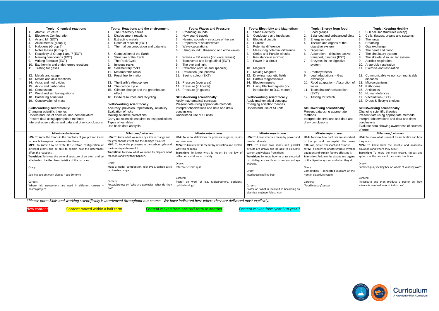*\*Please note: Skills and working scientifically is interleaved throughout our course. We have indicated here where they are delivered most explicitly.*

New content **Content moved within a half term** Content moved from one half term to another Content moved from year 8 to year 7





|   | <b>Topic: Chemical reactions</b>                               | <b>Topic: Reactions and the environment</b>         | <b>Topic: Waves and Pressure</b>                        | <b>Topic: Electricity and Magnetism</b>      | <b>Topic: Energy from food</b>              | <b>Topic: Keeping Healthy</b>                       |
|---|----------------------------------------------------------------|-----------------------------------------------------|---------------------------------------------------------|----------------------------------------------|---------------------------------------------|-----------------------------------------------------|
|   | Atomic Structure                                               | The Reactivity series                               | Producing sounds                                        | 1. Static electricity                        | Food groups<br>$\mathbf{1}$ .               | 1. Sub cellular structures (recap)                  |
|   | 2.<br><b>Electronic Configuration</b>                          | 2.<br>Displacement reactions                        | 2.<br>How sound travels                                 | Conductors and Insulators<br>2.              | 2.<br>Balanced and unbalanced diets         | Cells, tissues, organs and systems<br>2.            |
|   | $\mathbf{3}$<br>Ar and Mr (EXT)                                | 3.<br><b>Extracting metals</b>                      | 3.<br>Hearing sounds - structure of the ear             | 3.<br><b>Electrical circuits</b>             | 3.<br>Energy in food                        | 3.<br>The lungs                                     |
|   | Alkali metals (group 1)<br>$\overline{4}$                      | Rates of reaction (EXT)<br>4.                       | Properties of sound waves<br>4.                         | 4.<br>Current                                | $\overline{4}$<br>Tissues and organs of the | <b>Breathing</b>                                    |
|   | 5.<br>Halogens (Group 7)                                       | 5.<br>Thermal decomposition and catalysts           | 5.<br>Wave calculations                                 | 5.<br>Potential difference                   | digestive system                            | .5.<br>Gas exchange                                 |
|   | 6.<br>Noble Gases (Group 0)                                    |                                                     | 6.<br>Using sound: ultrasound and echo waves            | Measuring potential difference<br>6.         | 5.<br>Digestion                             | The heart and blood<br>6.                           |
|   | $\overline{7}$<br>Reactivity of Group 1 and 7 (EXT)            | 6.<br>Composition of the Earth                      |                                                         | 7.<br>Series and Parallel circuits           | 6.<br>Absorption - diffusion, active        | The circulatory system                              |
|   | Naming compounds (EXT)<br>8.                                   | 7 <sub>1</sub><br>Structure of the Earth            | 7.<br>Waves – EM waves (inc water waves)                | Resistance in a circuit<br>8.                | transport, osmosis (EXT)                    | The skeletal & muscular system<br>8.                |
|   | 9.<br>Writing formulae (EXT)                                   | 8.<br>The Rock Cycle                                | 8.<br>Transverse and longitudinal (EXT)                 | 9.<br>Power in a circuit                     | 7.<br>Enzymes in the digestive              | 9.<br>Aerobic respiration                           |
|   | Exothermic and endothermic reactions<br>10.                    | 9.<br>Igneous rocks                                 | 9.<br>The eye and light                                 |                                              | system                                      | 10. Anaerobic respiration                           |
|   | 11. Testing for gases                                          | Sedimentary rocks<br>10.                            | 10. Reflection (diffuse and specular)                   | 10. Magnets                                  |                                             | 11. Exercise and respiration                        |
|   |                                                                | 11. Metamorphic rocks                               | 11. Refraction (inc. prisms)                            | 11. Making Magnets                           | 8.<br>Photosynthesis                        |                                                     |
|   | 12. Metals and oxygen                                          | 12. Fossil fuel formation                           | 12. Seeing colour (EXT)                                 | 12. Drawing magnetic fields                  | Leaf adaptations - Gas<br>9.                | 12. Communicable vs non communicable                |
| 8 | 13. Metals and acid reactions                                  |                                                     |                                                         | 13. Earth's magnetic field                   | exchange                                    | diseases                                            |
|   | 14. Acids and hydroxides                                       | 13. The Earth's Atmosphere                          | 13. Pressure (over area)                                | 14. Electromagnets                           | 10. Rood adaptation - Absorption of         | 13. Microorganisms                                  |
|   | 15. Acids and carbonates                                       | 14. The carbon cycle                                | 14. Pressure (in liquids)                               | 15. Using Electromagnets (inc.               | water                                       | 14. Pathogens                                       |
|   | 16. Combustion                                                 | 15. Climate change and the greenhouse               | 15. Pressure (in gases)                                 | introduction to D.C. motors)                 | 11. Transpiration/translocation             | 15. Antibiotics                                     |
|   | 17. Word and symbol equations                                  | effect                                              |                                                         |                                              | (EXT)                                       | 16. Human defences                                  |
|   | 18. Balancing equations                                        | 16. Finite resources and recycling                  | <b>Skills/working scientifically:</b>                   | <b>Skills/working scientifically:</b>        | 12. Testing for starch                      | 17. Vaccination (EXT)                               |
|   | 19. Conservation of mass                                       |                                                     | Apply mathematical concepts                             | Apply mathematical concepts                  |                                             | 18. Drugs & lifestyle choices                       |
|   |                                                                | <b>Skills/working scientifically:</b>               | Present data using appropriate methods                  | Changing scientific theories                 |                                             |                                                     |
|   | <b>Skills/working scientifically:</b>                          | Accuracy, prevision, repeatability, reliability     | Interpret observations and data and draw                | Understand use of SI units                   | <b>Skills/working scientifically:</b>       | <b>Skills/working scientifically:</b>               |
|   | Changing scientific theories                                   | Evaluation of risks                                 | conclusions                                             |                                              | Present data using appropriate              | Changing scientific theories                        |
|   | Understand use of chemical non-nomenclature                    | Making scientific predictions                       | Understand use of SI units                              |                                              | methods                                     | Present data using appropriate methods              |
|   | Present data using appropriate methods                         | Carry out scientific enquires to test predictions   |                                                         |                                              | Interpret observations and data and         | Interpret observations and data and draw            |
|   | Interpret observations and data and draw conclusions           | Types of variables                                  |                                                         |                                              | draw conclusions                            | conclusions                                         |
|   |                                                                | Use basic data analysis                             |                                                         |                                              |                                             | Evaluate data showing awareness of sources          |
|   |                                                                |                                                     |                                                         |                                              |                                             | of error                                            |
|   | <b>Milestones/outcomes:</b>                                    | <b>Milestones/outcomes:</b>                         | <b>Milestones/outcomes:</b>                             | Milestones/outcomes:                         | <b>Milestones/outcomes:</b>                 | <b>Milestones/outcomes:</b>                         |
|   | HPA: To know the trends in the reactivity of group 1 and 7 and | HPA: To know what we mean by climate change and     | HPA: To know definitions for pressure in gases, liquids | HPA: To know what we mean by power and       | HPA: To know how particles are absorbed     | HPA: To know what is meant by antibiotics and how   |
|   | to be able to explain the reasons for them.                    | the greenhouse effect and the damage it causes      | and over area                                           | how to calculate                             | in the gut and can explain the terms        | they work                                           |
|   | MPA: To know how to write the electron configuration of        | MPA: To know the processes in the carbon cycle and  | MPA: To know what is meant by refraction and explain    | MPA: To know how series and parallel         | diffusion, active transport and osmosis.    | MPA: To know both the aerobic and anaerobic         |
|   | different atoms and be able to explain how the differences     | the interdependence of it.                          | why this happens.                                       | circuits are drawn and be able to calculate  | MPA: To know the photosynthesis symbol      | equations and where they occur                      |
|   | affect the reactions.                                          | Transition: To know what we mean by displacement    | Transition: To know what is meant by the law of         | current and voltage from them.               | equation and explain factors affecting it   | Transition: To know the main organs, tissues and    |
|   | Transition: To know the general structure of an atom and be    | reactions and why they happen.                      | reflection and draw accurately                          | Transition: To know how to draw electrical   | Transition: To know the tissues and organs  | systems of the body and their main functions.       |
|   | able to describe the characteristics of the particles.         |                                                     |                                                         | circuit diagrams and how current and voltage | of the digestive system and what they do.   |                                                     |
|   |                                                                | Oracy:                                              | Oracy:                                                  | changes.                                     |                                             | Oracy:                                              |
|   | Oracy:                                                         | Make a model- competition. rock cycle, carbon cycle | Interhouse term quiz                                    |                                              | Oracy:                                      | Summer quiz/spelling bee on whole of year key words |
|   |                                                                | or climate change.                                  |                                                         | Oracy:                                       | Competition - annotated diagram of the      |                                                     |
|   | Spelling bee between classes - top 20 terms                    |                                                     |                                                         | Interhouse spelling bee                      | human digestive system                      |                                                     |
|   |                                                                |                                                     | Careers:                                                |                                              |                                             | Careers:                                            |
|   | Careers:                                                       | Careers:                                            | Poster on work of e.g. radiographers, opticians,        |                                              | Careers:                                    | Investigate and then produce a poster on 'how       |
|   | Where risk assessments are used in different careers           | Poster/project on 'who are geologist- what do they  | ophthalmologist.                                        | Careers:                                     | 'Food industry' poster                      | science is involved in most industries'             |
|   | poster/project                                                 | do?                                                 |                                                         | Poster on 'what is involved in becoming an   |                                             |                                                     |
|   |                                                                |                                                     |                                                         | electrical engineer/electrician              |                                             |                                                     |
|   |                                                                |                                                     |                                                         |                                              |                                             |                                                     |
|   |                                                                |                                                     |                                                         |                                              |                                             |                                                     |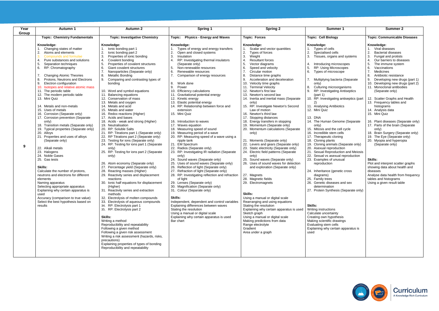| Year<br>Group | <b>Autumn 1</b>                                                                                                                                                                                                                                                                                                                                                                                                                                                                                                                                                                                                                                                                                                                                                                                                                                                                                                                                                                                                                                                                                                     | <b>Autumn 2</b>                                                                                                                                                                                                                                                                                                                                                                                                                                                                                                                                                                                                                                                                                                                                                                                                                                                                                                                                                                                                                                                                                                                                                                                                                                                                                                                                                                                                                                                                                                                                                                                                             | Spring 1                                                                                                                                                                                                                                                                                                                                                                                                                                                                                                                                                                                                                                                                                                                                                                                                                                                                                                                                                                                                                                                                                                                                                                                                                                                                                                                                                                 | <b>Spring 2</b>                                                                                                                                                                                                                                                                                                                                                                                                                                                                                                                                                                                                                                                                                                                                                                                                                                                                                                                                                                                                                                                                                                                                                                                                                                                                                                                  | <b>Summer 1</b>                                                                                                                                                                                                                                                                                                                                                                                                                                                                                                                                                                                                                                                                                                                                                                                                                                                                                                                                                                                                                                                                                                                          | <b>Summer 2</b>                                                                                                                                                                                                                                                                                                                                                                                                                                                                                                                                                                                                                                                                                                                                                                                                                            |
|---------------|---------------------------------------------------------------------------------------------------------------------------------------------------------------------------------------------------------------------------------------------------------------------------------------------------------------------------------------------------------------------------------------------------------------------------------------------------------------------------------------------------------------------------------------------------------------------------------------------------------------------------------------------------------------------------------------------------------------------------------------------------------------------------------------------------------------------------------------------------------------------------------------------------------------------------------------------------------------------------------------------------------------------------------------------------------------------------------------------------------------------|-----------------------------------------------------------------------------------------------------------------------------------------------------------------------------------------------------------------------------------------------------------------------------------------------------------------------------------------------------------------------------------------------------------------------------------------------------------------------------------------------------------------------------------------------------------------------------------------------------------------------------------------------------------------------------------------------------------------------------------------------------------------------------------------------------------------------------------------------------------------------------------------------------------------------------------------------------------------------------------------------------------------------------------------------------------------------------------------------------------------------------------------------------------------------------------------------------------------------------------------------------------------------------------------------------------------------------------------------------------------------------------------------------------------------------------------------------------------------------------------------------------------------------------------------------------------------------------------------------------------------------|--------------------------------------------------------------------------------------------------------------------------------------------------------------------------------------------------------------------------------------------------------------------------------------------------------------------------------------------------------------------------------------------------------------------------------------------------------------------------------------------------------------------------------------------------------------------------------------------------------------------------------------------------------------------------------------------------------------------------------------------------------------------------------------------------------------------------------------------------------------------------------------------------------------------------------------------------------------------------------------------------------------------------------------------------------------------------------------------------------------------------------------------------------------------------------------------------------------------------------------------------------------------------------------------------------------------------------------------------------------------------|----------------------------------------------------------------------------------------------------------------------------------------------------------------------------------------------------------------------------------------------------------------------------------------------------------------------------------------------------------------------------------------------------------------------------------------------------------------------------------------------------------------------------------------------------------------------------------------------------------------------------------------------------------------------------------------------------------------------------------------------------------------------------------------------------------------------------------------------------------------------------------------------------------------------------------------------------------------------------------------------------------------------------------------------------------------------------------------------------------------------------------------------------------------------------------------------------------------------------------------------------------------------------------------------------------------------------------|------------------------------------------------------------------------------------------------------------------------------------------------------------------------------------------------------------------------------------------------------------------------------------------------------------------------------------------------------------------------------------------------------------------------------------------------------------------------------------------------------------------------------------------------------------------------------------------------------------------------------------------------------------------------------------------------------------------------------------------------------------------------------------------------------------------------------------------------------------------------------------------------------------------------------------------------------------------------------------------------------------------------------------------------------------------------------------------------------------------------------------------|--------------------------------------------------------------------------------------------------------------------------------------------------------------------------------------------------------------------------------------------------------------------------------------------------------------------------------------------------------------------------------------------------------------------------------------------------------------------------------------------------------------------------------------------------------------------------------------------------------------------------------------------------------------------------------------------------------------------------------------------------------------------------------------------------------------------------------------------|
|               | <b>Topic: Chemistry Fundamentals</b>                                                                                                                                                                                                                                                                                                                                                                                                                                                                                                                                                                                                                                                                                                                                                                                                                                                                                                                                                                                                                                                                                | <b>Topic: Investigative Chemistry</b>                                                                                                                                                                                                                                                                                                                                                                                                                                                                                                                                                                                                                                                                                                                                                                                                                                                                                                                                                                                                                                                                                                                                                                                                                                                                                                                                                                                                                                                                                                                                                                                       | <b>Physics - Energy and Waves</b><br>Topic:                                                                                                                                                                                                                                                                                                                                                                                                                                                                                                                                                                                                                                                                                                                                                                                                                                                                                                                                                                                                                                                                                                                                                                                                                                                                                                                              | <b>Topic: Forces</b>                                                                                                                                                                                                                                                                                                                                                                                                                                                                                                                                                                                                                                                                                                                                                                                                                                                                                                                                                                                                                                                                                                                                                                                                                                                                                                             | <b>Topic: Cell Biology</b>                                                                                                                                                                                                                                                                                                                                                                                                                                                                                                                                                                                                                                                                                                                                                                                                                                                                                                                                                                                                                                                                                                               | <b>Topic: Communicable Diseases</b>                                                                                                                                                                                                                                                                                                                                                                                                                                                                                                                                                                                                                                                                                                                                                                                                        |
| 9             | Knowledge:<br>Changing states of matter<br>Atoms and elements<br>2.<br>Compounds and formulae<br>4.<br>Pure substances and solutions<br>5 <sub>0</sub><br>Separation techniques<br>6.<br>RP: Chromatography<br><b>Changing Atomic Theories</b><br>Protons, Neutrons and Electrons<br>8.<br>9.<br>Electron configuration<br>10. Isotopes and relative atomic mass<br>11. The periodic table<br>12. The modern periodic table<br>13. Mini Quiz<br>14. Metals and non-metals<br>15. Uses of metals<br>16. Corrosion (Separate only)<br>17. Corrosion prevention (Separate<br>only)<br>18. Transition metals (Separate only)<br>19. Typical properties (Separate only)<br>20. Alloys<br>21. Properties and uses of alloys<br>(Separate only)<br>22. Alkali metals<br>23. Halogens<br>24. Noble Gases<br>25. Gas tests<br>Skills:<br>Calculate the number of protons,<br>neutrons and electrons for different<br>elements<br>Naming apparatus<br>Selecting appropriate apparatus<br>Explaining why certain apparatus is<br>used<br>Accuracy (comparison to true value)<br>Select the best hypothesis based on<br>results | Knowledge:<br>lonic bonding part 1<br>lonic bonding part 2<br>2.<br>Properties of ionic bonding<br>Covalent bonding<br>4.<br>5.<br>Properties of covalent structures<br>6.<br><b>Giant covalent structures</b><br>7.<br>Nanoparticles (Separate only)<br>8.<br>Metallic Bonding<br>Comparing and contrasting types of<br>9.<br>bonding<br>10. Word and symbol equations<br>11. Balancing equations<br>12. Conservation of mass<br>13. Metals and oxygen<br>14. Metals and acid<br>15. Metals and water<br>16. Redox reactions (Higher)<br>17. Acids and bases<br>18. Acids - weak and strong (Higher)<br>19. Neutralisation<br>20. RP: Soluble Salts<br>21. RP: Titrations part 1 (Separate only)<br>22. RP Titrations part 2 (Separate only)<br>23. Testing for ions (Separate only)<br>24. RP: Testing for ions part 1 (Separate<br>only)<br>25. RP: Testing for ions part 2 (Separate<br>only)<br>26. Atom economy (Separate only)<br>27. Percentage yield (Separate only)<br>28. Reacting masses (Higher)<br>29. Reactivity series and displacement<br>reactions<br>30. Ionic half equations for displacement<br>(Higher)<br>31. Reactivity series and extraction<br>methods<br>32. Electrolysis of molten compounds<br>33. Electrolysis of aqueous compounds<br>34. RP: Electrolysis part 1<br>35. RP: Electrolysis part 2<br><b>Skills:</b><br>Writing a method<br>Reproducibility and repeatability<br>Following a given method<br>Following a given risk assessment<br>Writing a risk assessment (hazards, risks,<br>precautions)<br>Explaining properties of types of bonding<br>Reproducibility and repeatability | Knowledge:<br>Types of energy and energy transfers<br>Open and closed systems<br>2.<br>3.<br>Insulation<br>RP: Investigating thermal insulators<br>4.<br>(Separate only)<br>Non-renewable resources<br>5.<br>6.<br>Renewable resources<br>7.<br>Comparison of energy resources<br>8. Work done<br>9.<br>Power<br>10. Efficiency calculations<br>11. Gravitational potential energy<br>12. Kinetic energy<br>13. Elastic potential energy<br>14. RP: Relationship between force and<br>extension<br>15. Mini Quiz<br>16. Introduction to waves<br>17. Waves equation<br>18. Measuring speed of sound<br>19. Measuring period of a wave<br>20. RP: Measuring speed of a wave using a<br>ripple tank<br>21. EM Spectrum<br>22. Radios (Separate only)<br>23. RP: Investigating IR radiation (Separate<br>only)<br>24. Sound waves (Separate only)<br>25. Uses of sound waves (Separate only)<br>26. Reflection of light (Separate only)<br>27. Refraction of light (Separate only)<br>28. RP: Investigating reflection and refraction<br>of light<br>29. Lenses (Separate only)<br>30. Magnification (Separate only)<br>31. Colour (Separate only)<br>Skills:<br>Independent, dependent and control variables<br>Explaining differences between waves<br>Stating the resolution<br>Using a manual or digital scale<br>Explaining why certain apparatus is used<br>Bar chart | Knowledge:<br>Scalar and vector quantities<br>2.<br>Types of forces<br>3.<br>Weight<br>$\overline{4}$<br><b>Resultant forces</b><br>5.<br>Vector diagrams<br>6.<br>Speed and velocity<br>7.<br>Circular motion<br>8.<br>Distance time graphs<br>Acceleration and deceleration<br>9.<br>10. Velocity time graphs<br>11. Terminal Velocity<br>12. Newton's first law<br>13. Newton's second law<br>14. Inertia and inertial mass (Separate<br>only)<br>15. RP: Investigate Newton's Second<br>Law of motion<br>16. Newton's third law<br>17. Stopping distances<br>18. Energy transfers in stopping<br>19. Momentum (Separate only)<br>20. Momentum calculations (Separate<br>only)<br>21. Moments (Separate only)<br>22. Levers and gears (Separate only)<br>23. Static electricity (Separate only)<br>24. Electric field patterns (Separate<br>only)<br>25. Sound waves (Separate only)<br>26. Uses of sound waves for detection<br>and exploration (Separate only)<br>27. Magnets<br>28. Magnetic fields<br>29. Electromagnets<br>Skills:<br>Using a manual or digital scale<br>Rearranging and using equations<br>Stating the resolution<br>Explaining why certain apparatus is used<br>Sketch graph<br>Using a manual or digital scale<br>Making predictions from data<br>Range electrolyte<br>Gradient<br>Area under a graph | Knowledge:<br>1. Types of cells<br>2.<br>Specialised cells<br>3.<br>Tissues, organs and systems<br>Introducing microscopes<br><b>RP: Using Microscopes</b><br>5.<br>6.<br>Types of microscope<br>7. Multiplying bacteria (Separate<br>only)<br>Culturing microorganisms<br>RP: Investigating Antiseptics<br>(part 1)<br>10. RP: Investigating antiseptics (part<br>11. Analysing Antibiotics<br>12. Mini Quiz<br>13. DNA<br>14. The Human Genome (Separate<br>only)<br>15. Mitosis and the cell cycle<br>16. Incredible stem cells<br>17. Therapeutic cloning<br>18. Cloning plants<br>19. Cloning animals (Separate only)<br>20. Asexual reproduction<br>21. Sexual Reproduction and Meiosis<br>22. Sexual vs asexual reproduction<br>23. Examples of unusual<br>reproduction<br>24. Inheritance (genetic cross<br>diagrams)<br>25. Family trees<br>26. Genetic diseases and sex<br>determination<br>27. Protein Synthesis (Separate only)<br>Skills:<br>Writing instructions<br>Calculate uncertainty<br>Creating own hypothesis<br>Making scientific drawings<br>Evaluating stem cells<br>Explaining why certain apparatus is<br>used | Knowledge:<br>Viral diseases<br><b>Bacterial diseases</b><br>Fungal and protists<br>Our barriers to diseases<br>The immune system<br>6.<br>Vaccinations<br>Medicines<br>Antibiotic resistance<br>Developing new drugs (part 1)<br>9.<br>10. Developing new drugs (part 2)<br>11. Monoclonal antibodies<br>(Separate only)<br>12. Scatter Graphs and Health<br>13. Frequency tables and<br>histograms<br>14. Analysis data<br>15. Mini Quiz<br>16. Plant diseases (Separate only)<br>17. Parts of the brain (Separate<br>only)<br>18. Brain Surgery (Separate only)<br>19. The Eye (Separate only)<br>20. Myopia and hyperopia<br>(Separate only)<br>Skills:<br>Plot and interpret scatter graphs<br>showing data about health and<br>diseases<br>Analyse data health from frequency<br>tables and histograms<br>Using a given result table |
|               |                                                                                                                                                                                                                                                                                                                                                                                                                                                                                                                                                                                                                                                                                                                                                                                                                                                                                                                                                                                                                                                                                                                     |                                                                                                                                                                                                                                                                                                                                                                                                                                                                                                                                                                                                                                                                                                                                                                                                                                                                                                                                                                                                                                                                                                                                                                                                                                                                                                                                                                                                                                                                                                                                                                                                                             |                                                                                                                                                                                                                                                                                                                                                                                                                                                                                                                                                                                                                                                                                                                                                                                                                                                                                                                                                                                                                                                                                                                                                                                                                                                                                                                                                                          |                                                                                                                                                                                                                                                                                                                                                                                                                                                                                                                                                                                                                                                                                                                                                                                                                                                                                                                                                                                                                                                                                                                                                                                                                                                                                                                                  |                                                                                                                                                                                                                                                                                                                                                                                                                                                                                                                                                                                                                                                                                                                                                                                                                                                                                                                                                                                                                                                                                                                                          |                                                                                                                                                                                                                                                                                                                                                                                                                                                                                                                                                                                                                                                                                                                                                                                                                                            |



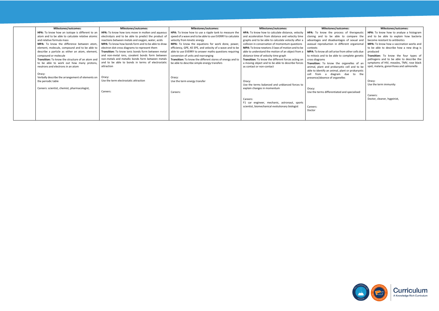| Milestones/outcomes:                             | <b>Milestones/outcomes:</b>                           | Milestones/outcomes:                                      | Milestones/outcomes:                                   | Milestones/outcomes:                                    | Milestones/outcomes:                            |
|--------------------------------------------------|-------------------------------------------------------|-----------------------------------------------------------|--------------------------------------------------------|---------------------------------------------------------|-------------------------------------------------|
| HPA: To know how an isotope is different to an   | HPA: To know how ions move in molten and aqueous      | HPA: To know how to use a ripple tank to measure the      | HPA: To know how to calculate distance, velocity       | <b>HPA:</b> To know the process of therapeutic          | HPA: To know how to analyse a histogram         |
| atom and to be able to calculate relative atomic | electrolysis and to be able to predict the product of | speed of a wave and to be able to use EVERRY to calculate | and acceleration from distance and velocity time       | cloning and to be able to compare the                   | and to be able to explain how bacteria          |
| and relative formula mass                        | reactions between metals and oxygen, water, acids     | velocity from kinetic energy                              | graphs and to be able to calculate velocity after a    | advantages and disadvantages of sexual and              | become resistant to antibiotics                 |
| MPA: To know the difference between atom         | MPA: To know how bonds form and to be able to draw    | MPA: To know the equations for work done, power,          | collision in conservation of momentum questions        | asexual reproduction in different organismal            | <b>MPA:</b> To know how a vaccination works and |
| element, molecule, compound and to be able to    | electron dot-cross diagrams to represent them         | efficiency, GPE, KE EPE, and velocity of a wave and to be | <b>MPA:</b> To know newtons 3 laws of motion and to be | contexts                                                | to be able to describe how a new drug is        |
| describe a particle as either an atom, element,  | Transition: To know ionic bonds form between metal    | able to use EVERRY to answer maths questions requiring    | able to understand the motion of an object from a      | <b>MPA:</b> To know all cell arise from other cells due | produced                                        |
| compound or molecule                             | and non-metal ions, covalent bonds form between       | conversion of units and rearranging                       | distance time of velocity time graph                   | to mitosis and to be able to complete genetic           | Transition: To know the four types of           |
| Transition: To know the structure of an atom and | non-metals and metallic bonds form between metals     | Transition: To know the different stores of energy and to | Transition: To know the different forces acting on     | cross diagrams                                          | pathogens and to be able to describe the        |
| to be able to work out how many protons.         | and to be able to bonds in terms of electrostatic     | be able to describe simple energy transfers               | a moving object and to be able to describe forces      | Transition: To know the organelles of an                | symptoms of HIV, measles, TMV, rose black       |
| neutrons and electrons in an atom                | attraction                                            |                                                           | as contact or non-contact                              | animal, plant and prokaryotic cell and to be            | spot, malaria, gonorrhoea and salmonella        |
|                                                  |                                                       |                                                           |                                                        | able to identify an animal, plant or prokaryotic        |                                                 |
| Oracy:                                           |                                                       |                                                           |                                                        | from a diagram due to the<br>cell                       |                                                 |
| Verbally describe the arrangement of elements on | Oracy:                                                | Oracy:                                                    |                                                        | presence/absence of organelles                          |                                                 |
| the periodic table                               | Use the term electrostatic attraction                 | Use the term energy transfer                              | Oracy:                                                 |                                                         | Oracy:                                          |
|                                                  |                                                       |                                                           | Use the terms balanced and unblanced forces to         |                                                         | Use the term immunity                           |
| Careers: scientist, chemist, pharmacologist,     |                                                       |                                                           | explain changes in momentum                            | Oracy:                                                  |                                                 |
|                                                  | Careers:                                              | Careers:                                                  |                                                        | Use the terms differentiated and specialised            |                                                 |
|                                                  |                                                       |                                                           |                                                        |                                                         | Careers:                                        |
|                                                  |                                                       |                                                           | Careers:                                               |                                                         | Doctor, cleaner, hygeinist,                     |
|                                                  |                                                       |                                                           | F1 car engineer, mechanic, astronaut, sports           |                                                         |                                                 |
|                                                  |                                                       |                                                           | scientist, biomechanical evolutionary biologist        | Careers:                                                |                                                 |
|                                                  |                                                       |                                                           |                                                        | Doctor                                                  |                                                 |
|                                                  |                                                       |                                                           |                                                        |                                                         |                                                 |
|                                                  |                                                       |                                                           |                                                        |                                                         |                                                 |



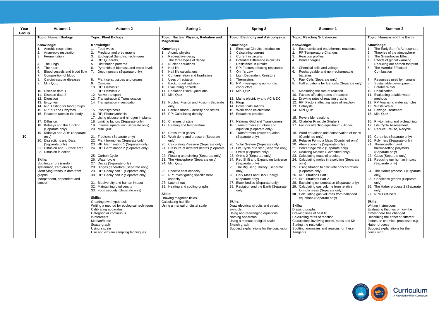| Year  | <b>Autumn 1</b>                                                                                                                                                                                                                                                                                                                                                                                                                                                                                                                                                                                                                                                                                                                                                                                                            | <b>Autumn 2</b>                                                                                                                                                                                                                                                                                                                                                                                                                                                                                                                                                                                                                                                                                                                                                                                                                                                                                                                                                                                                                                                                                                                                                                                                                                                                                                              | <b>Spring 1</b>                                                                                                                                                                                                                                                                                                                                                                                                                                                                                                                                                                                                                                                                                                                                                                                                                                                                                                                                                                                                                                                                       | <b>Spring 2</b>                                                                                                                                                                                                                                                                                                                                                                                                                                                                                                                                                                                                                                                                                                                                                                                                                                                                                                                                                                                                                                                                                                                                                                                                                                                                                                 | Summer 1                                                                                                                                                                                                                                                                                                                                                                                                                                                                                                                                                                                                                                                                                                                                                                                                                                                                                                                                                                                                                                                                                                                                                                                                                                                                                                                                                                                                                                                                                                                           | <b>Summer 2</b>                                                                                                                                                                                                                                                                                                                                                                                                                                                                                                                                                                                                                                                                                                                                                                                                                                                                                                                                                                                                                                                                                                                                                                                                                |
|-------|----------------------------------------------------------------------------------------------------------------------------------------------------------------------------------------------------------------------------------------------------------------------------------------------------------------------------------------------------------------------------------------------------------------------------------------------------------------------------------------------------------------------------------------------------------------------------------------------------------------------------------------------------------------------------------------------------------------------------------------------------------------------------------------------------------------------------|------------------------------------------------------------------------------------------------------------------------------------------------------------------------------------------------------------------------------------------------------------------------------------------------------------------------------------------------------------------------------------------------------------------------------------------------------------------------------------------------------------------------------------------------------------------------------------------------------------------------------------------------------------------------------------------------------------------------------------------------------------------------------------------------------------------------------------------------------------------------------------------------------------------------------------------------------------------------------------------------------------------------------------------------------------------------------------------------------------------------------------------------------------------------------------------------------------------------------------------------------------------------------------------------------------------------------|---------------------------------------------------------------------------------------------------------------------------------------------------------------------------------------------------------------------------------------------------------------------------------------------------------------------------------------------------------------------------------------------------------------------------------------------------------------------------------------------------------------------------------------------------------------------------------------------------------------------------------------------------------------------------------------------------------------------------------------------------------------------------------------------------------------------------------------------------------------------------------------------------------------------------------------------------------------------------------------------------------------------------------------------------------------------------------------|-----------------------------------------------------------------------------------------------------------------------------------------------------------------------------------------------------------------------------------------------------------------------------------------------------------------------------------------------------------------------------------------------------------------------------------------------------------------------------------------------------------------------------------------------------------------------------------------------------------------------------------------------------------------------------------------------------------------------------------------------------------------------------------------------------------------------------------------------------------------------------------------------------------------------------------------------------------------------------------------------------------------------------------------------------------------------------------------------------------------------------------------------------------------------------------------------------------------------------------------------------------------------------------------------------------------|------------------------------------------------------------------------------------------------------------------------------------------------------------------------------------------------------------------------------------------------------------------------------------------------------------------------------------------------------------------------------------------------------------------------------------------------------------------------------------------------------------------------------------------------------------------------------------------------------------------------------------------------------------------------------------------------------------------------------------------------------------------------------------------------------------------------------------------------------------------------------------------------------------------------------------------------------------------------------------------------------------------------------------------------------------------------------------------------------------------------------------------------------------------------------------------------------------------------------------------------------------------------------------------------------------------------------------------------------------------------------------------------------------------------------------------------------------------------------------------------------------------------------------|--------------------------------------------------------------------------------------------------------------------------------------------------------------------------------------------------------------------------------------------------------------------------------------------------------------------------------------------------------------------------------------------------------------------------------------------------------------------------------------------------------------------------------------------------------------------------------------------------------------------------------------------------------------------------------------------------------------------------------------------------------------------------------------------------------------------------------------------------------------------------------------------------------------------------------------------------------------------------------------------------------------------------------------------------------------------------------------------------------------------------------------------------------------------------------------------------------------------------------|
| Group | <b>Topic: Human Biology</b><br><b>Topic: Plant Biology</b>                                                                                                                                                                                                                                                                                                                                                                                                                                                                                                                                                                                                                                                                                                                                                                 |                                                                                                                                                                                                                                                                                                                                                                                                                                                                                                                                                                                                                                                                                                                                                                                                                                                                                                                                                                                                                                                                                                                                                                                                                                                                                                                              | Topic: Nuclear Physics, Radiation and                                                                                                                                                                                                                                                                                                                                                                                                                                                                                                                                                                                                                                                                                                                                                                                                                                                                                                                                                                                                                                                 | <b>Topic: Electricity and Astrophysics</b>                                                                                                                                                                                                                                                                                                                                                                                                                                                                                                                                                                                                                                                                                                                                                                                                                                                                                                                                                                                                                                                                                                                                                                                                                                                                      | <b>Topic: Reacting Substances</b>                                                                                                                                                                                                                                                                                                                                                                                                                                                                                                                                                                                                                                                                                                                                                                                                                                                                                                                                                                                                                                                                                                                                                                                                                                                                                                                                                                                                                                                                                                  | <b>Topic: Humans and the Earth</b>                                                                                                                                                                                                                                                                                                                                                                                                                                                                                                                                                                                                                                                                                                                                                                                                                                                                                                                                                                                                                                                                                                                                                                                             |
| 10    | Knowledge:<br>Aerobic respiration<br>2.<br>Anaerobic respiration<br>3.<br>Fermentation<br>The lungs<br>$\mathbf{4}$<br>5.<br>The heart<br>Blood vessels and blood flow<br>6.<br>Composition of blood<br>Cardiovascular diseases<br>8.<br>9.<br>Mini Quiz<br>10. Disease data 1<br>11. Disease data 2<br>12. Digestion<br>13. Enzymes<br>14. RP: Testing for food groups<br>15. RP: pH and Enzymes<br>16. Reaction rates in the body<br>17. Diffusion<br>18. Kidneys and the function<br>(Separate only)<br>19. Kidneys and ADH (Separate<br>only)<br>20. Dissections and Data<br>(Separate only)<br>Diffusion and Surface area<br>21.<br>22. Diffusion in action<br>Skills:<br>Spotting errors (random,<br>systematic, zero errors)<br>Identifying trends in data from<br>graphs.<br>Independent, dependent and<br>control | Knowledge:<br>Food webs<br>Predator and prey graphs<br>2.<br>3.<br><b>Ecological Sampling techniques</b><br>RP: Quadrats<br>4.<br><b>Distribution patterns</b><br>5.<br>Pyramids of biomass and tropic levels<br>6.<br>Decomposers (Separate only)<br>Plant cells, tissues and organs<br>8.<br>9.<br>Osmosis<br>10. RP: Osmosis 1<br>11. RP: Osmosis 2<br>12. Active transport<br>13. Transpiration & Translocation<br>14. Transpiration investigation<br>15. Photosynthesis<br>16. RP: Photosynthesis<br>17. Using glucose and nitrogen in plants<br>18. Limiting factors (Separate only)<br>19. Inverse square law (Separate only)<br>20. Mini Quiz<br>21. Tropisms (Separate only)<br>22. Plant hormones (Separate only)<br>23. RP: Germination 1 (Separate only)<br>24. RP: Germination 2 (Separate only)<br>25. Carbon Cycle<br>26. Water cycle<br>27. Decay (Separate only)<br>28. Biogas generators (Separate only)<br>29. RP: Decay part 1 (Separate only)<br>30. RP: Decay part 2 (Separate only)<br>31. Biodiversity and human impact<br>32. Maintaining biodiversity<br>33. Food security (Separate only)<br>Skills:<br>Creating own hypothesis<br>Writing a method for ecological techniques<br>Calibrating apparatus<br>Categoric or continuous<br>x-intercepts<br>Median/Mode<br>Scattergraph<br>Using a scale | <b>Magnetism</b><br>Knowledge:<br>Atomic physics<br>Radioactive decay<br>2.<br>3.<br>The three types of decay<br>4.<br>Nuclear equations<br>Half life<br>5.<br>6.<br>Half life calculations<br>Contamination and Irradiation<br>8.<br>Uses of radiation<br>Background radiation<br>9.<br><b>Evaluating hazards</b><br>10.<br>11. Radiation Exam Questions<br>12. Mini Quiz<br>13. Nuclear Fission and Fusion (Separate<br>only)<br>14. Particle model - density and states<br>15. RP: Calculating density<br>16. Changes of state<br>17. Heating and temperature<br>18. Pressure in gases<br>19. Work done and pressure (Separate<br>only)<br>20. Calculating Pressure (Separate only)<br>21. Pressure at different depths (Separate<br>only)<br>22. Floating and sinking (Separate only)<br>The Atmosphere (Separate only)<br>24. Mini Quiz<br>25. Specific heat capacity<br>26. RP: Investigating specific heat<br>capacity<br>27. Latent heat<br>28. Heating and cooling graphs<br>Skills:<br>Drawing magnetic fields.<br>Calculating half-life<br>Using a manual or digital scale | Knowledge:<br><b>Electrical Circuits Introduction</b><br>$\mathbf{2}$<br>Calculating current<br>3.<br>Current in circuits<br>Potential Difference in circuits<br>4<br>5.<br>Resistance in circuits<br>6.<br>RP: Factors affecting resistance<br>Ohm's Law<br>8.<br>Light Dependent Resistors<br>9.<br>Thermistors<br>10.<br>RP: investigating non-ohmic<br>conductors<br>11. Mini Quiz<br>12. Mains electricity and AC & DC<br>13. Plugs<br>14. Power calculations<br>15. Work done calculations<br>16. Equations practice<br>17. National Grid and Transformers<br>18. Transformers structure and<br>equation (Separate only)<br>19. Transformers power equation<br>(Separate only)<br>Solar System (Separate only)<br>20.<br>21.<br>Life Cycle of a star (Separate only)<br>22. Orbits (Separate only)<br>23. Orbits 2 (Separate only)<br>24. Red Shift and Expanding Universe<br>(Separate only)<br>25. The Big Bang Theory (Separate<br>only)<br>26. Dark Mass and Dark Energy<br>(Separate only)<br>27. Black bodies (Separate only)<br>28. Radiation and the Earth (Separate<br>only)<br>Skills:<br>Draw electrical circuits and circuit<br>symbols.<br>Using and rearranging equations<br>Naming apparatus<br>Using a manual or digital scale<br>Sketch graph<br>Suggest explanations for the conclusion | Knowledge:<br>Exothermic and endothermic reactions<br>2.<br>RP Temperature Changes<br>3.<br>Reaction profiles<br>Bond energies<br>4.<br>Chemical cells and voltage<br>5.<br>6.<br>Rechargeable and non-rechargeable<br>batteries<br>Fuel Cells (Separate only)<br>Half equations for fuel cells (Separate only)<br>8.<br>Measuring the rate of reaction<br>9.<br>10. Factors affecting rates of reaction<br>11. Drawing rates of reaction graphs<br>12. RP: Factors affecting rates of reaction<br>13. Catalysts<br>14. Mini Quiz<br>15. Reversible reactions<br>16. Chatelier Principle (Higher)<br>17. Factors affecting equilibrium (Higher)<br>18. Word equations and conservation of mass<br>(Combined only)<br>19. Relative Formula Mass (Combined only)<br>20. Atom economy (Separate only)<br>21. Percentage Yield (Separate only)<br>22. Reacting Masses (Combined only)<br>23. Calculating mass of a solute<br>24. Calculating moles in a solution (Separate<br>only)<br>25. Using titration to calculate concentration<br>(Separate only)<br>26. RP: Titrations Part 1<br>27. RP: Titrations Part 2<br>28. Explaining concentration (Separate only)<br>29. Calculating gas volume from relative<br>formula mass (Separate only)<br>30. Calculating gas volumes from balanced<br>equations (Separate only)<br>Skills:<br>Drawing graphs<br>Drawing lines of best fit<br>Calculating rates of reaction<br>Calculations involving moles, mass and Mr<br>Stating the resolution<br>Spotting anomalies and reasons for these | Knowledge:<br>The Early Earth's Atmosphere<br>2.<br>Theories of the atmosphere<br>3.<br>The Greenhouse Effect<br>$\overline{4}$<br>Effects of global warming<br>5 <sub>1</sub><br>Reducing our carbon footprint<br>6.<br>The Harmful Effects of<br>Combustion<br>Resources used by humans<br>Sustainable development<br>8.<br>9.<br>Potable Water<br>10. Desalination<br>11. Evaluating potable water<br>methods<br>12. RP Analysing water samples<br>13. Waste Water<br>14. Sewage Treatment<br>15. Mini Quiz<br>16. Phytomining and bioleaching<br>17. Life Cycle Assessment<br>18. Reduce, Reuse, Recycle<br>19. Ceramics (Separate only)<br>20. Polymers (Separate only)<br>21. Thermosetting and<br>thermosetting polymers<br>(Separate only)<br>22. Glass (Separate only)<br>23. Reducing our human impact<br>(Separate only)<br>24. The Haber process 1 (Separate<br>only)<br>25. Conditions graphs (Separate<br>only)<br>26. The Haber process 2 (Separate<br>only)<br>27. NPK Fertilisers<br>Skills:<br>Writing instructions<br>Evaluating theories of how the<br>atmosphere has changed<br>Describing the effect of different<br>factors on chemical processes e.g.<br>Haber process<br>Suggest explanations for the |
|       |                                                                                                                                                                                                                                                                                                                                                                                                                                                                                                                                                                                                                                                                                                                                                                                                                            | Use and explain sampling techniques                                                                                                                                                                                                                                                                                                                                                                                                                                                                                                                                                                                                                                                                                                                                                                                                                                                                                                                                                                                                                                                                                                                                                                                                                                                                                          |                                                                                                                                                                                                                                                                                                                                                                                                                                                                                                                                                                                                                                                                                                                                                                                                                                                                                                                                                                                                                                                                                       |                                                                                                                                                                                                                                                                                                                                                                                                                                                                                                                                                                                                                                                                                                                                                                                                                                                                                                                                                                                                                                                                                                                                                                                                                                                                                                                 | Tangents                                                                                                                                                                                                                                                                                                                                                                                                                                                                                                                                                                                                                                                                                                                                                                                                                                                                                                                                                                                                                                                                                                                                                                                                                                                                                                                                                                                                                                                                                                                           | conclusion                                                                                                                                                                                                                                                                                                                                                                                                                                                                                                                                                                                                                                                                                                                                                                                                                                                                                                                                                                                                                                                                                                                                                                                                                     |



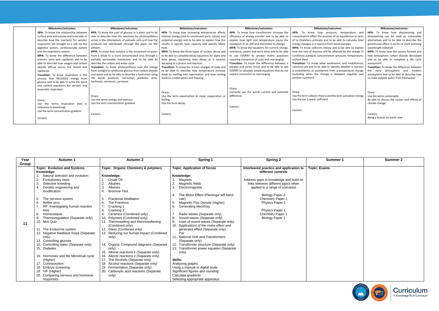| Year  | <b>Autumn 1</b>                       | <b>Autumn 2</b>                                | Spring 1                                  | <b>Spring 2</b>                         | Summer 1            | <b>Summer 2</b> |
|-------|---------------------------------------|------------------------------------------------|-------------------------------------------|-----------------------------------------|---------------------|-----------------|
| Group |                                       |                                                |                                           |                                         |                     |                 |
|       | <b>Topic: Evolution and Systems</b>   | <b>Topic: Organic Chemistry &amp; polymers</b> | <b>Topic: Application of forces</b>       | Interleaved practice and application to | <b>Topic: Exams</b> |                 |
|       | Knowledge:                            |                                                |                                           | different contexts                      |                     |                 |
|       | Natural selection and evolution       | Knowledge:                                     | Knowledge:                                |                                         |                     |                 |
|       | Evolutionary trees                    | Crude Oil                                      | Magnets                                   | Address gaps in knowledge and build on  |                     |                 |
|       | Selective breeding                    | Alkanes                                        | 2.<br>Magnetic fields                     | links between different topics when     |                     |                 |
|       | Genetic engineering and               | Alkenes<br>3                                   | 3<br>Electromagnets                       | applied to a range of scenarios         |                     |                 |
|       | modification                          | <b>Bromine Test</b><br>4                       |                                           |                                         |                     |                 |
|       |                                       |                                                | The Motor Effect (Flemings' left hand     | <b>Biology Paper 2</b>                  |                     |                 |
|       | The nervous system                    | <b>Fractional Distillation</b>                 | rule)                                     | <b>Chemistry Paper 2</b>                |                     |                 |
|       | 6<br>Reflex arcs                      | 6.<br>The Fractions                            | Magnetic Flux Density (Higher)            | <b>Physics Paper 2</b>                  |                     |                 |
|       | RP: Investigating human reaction      | Cracking 1                                     | 6.<br>Generating electricity              |                                         |                     |                 |
|       | time                                  | 8.<br>Cracking 2                               |                                           | Physics Paper 1                         |                     |                 |
|       | Homeostasis<br>8                      | 9.<br>Ceramics (Combined only)                 | Radio waves (Separate only)               | <b>Chemistry Paper 1</b>                |                     |                 |
|       | Thermoregulation (Separate only)      | 10. Polymers (Combined only)                   | 8<br>Sound waves (Separate only)          | <b>Biology Paper 1</b>                  |                     |                 |
| 11    | 10. Mini Quiz                         | 11. Thermosetting and thermosoftening          | 9.<br>Uses of sound waves (Separate only) |                                         |                     |                 |
|       |                                       | (Combined only)                                | 10. Applications of the motor effect and  |                                         |                     |                 |
|       | 11. The Endocrine system              | 12. Glass (Combined only)                      | generator effect (Separate only)          |                                         |                     |                 |
|       | 12. Negative feedback loops (Separate | 13. Reducing our human impact (Combined        | Par                                       |                                         |                     |                 |
|       | only)                                 | only)                                          | 11. National Grid and Transformers        |                                         |                     |                 |
|       | 13. Controlling glucose               |                                                | (Separate only)                           |                                         |                     |                 |
|       | 14. Controlling water (Separate only) | 14. Organic Compound diagrams (Separate        | 12. Transformer structure (Separate only) |                                         |                     |                 |
|       | 15. Diabetes                          | only)                                          | 13. Transformer power equation (Separate  |                                         |                     |                 |
|       |                                       | 15. Alkene reactions 1 (Separate only)         | only)                                     |                                         |                     |                 |
|       | 16. Hormones and the Menstrual cycle  | 16. Alkene reactions 2 (Separate only)         |                                           |                                         |                     |                 |
|       | (Higher)                              | 17. The Alcohols (Separate only)               | Skills:                                   |                                         |                     |                 |
|       | 17. Contraception                     | 18. Alcohol reactions (Separate only)          | Analysing graphs                          |                                         |                     |                 |
|       | 18. Embryo screening                  | 19. Fermentation (Separate only)               | Using a manual or digital scale           |                                         |                     |                 |
|       | 19. IVF (Higher)                      | 20. Carboxylic acid reactions (Separate        | Significant figures and rounding          |                                         |                     |                 |
|       | 20. Comparing nervous and hormonal    | only)                                          | Calculate gradients                       |                                         |                     |                 |
|       | responses                             |                                                | Selecting appropriate apparatus           |                                         |                     |                 |

| Milestones/outcomes:                      | Milestones/outcomes:                                     | <b>Milestones/outcomes:</b>                             | Milestones/outcomes:                                   | Milestones/outcomes:                                            |
|-------------------------------------------|----------------------------------------------------------|---------------------------------------------------------|--------------------------------------------------------|-----------------------------------------------------------------|
| HPA: To know the relationship between     | HPA: To know the uses of glucose in a plant and to be    | <b>HPA:</b> To know how increasing temperature affects  | <b>HPA:</b> To know how transformers increase the      | HPA: To know how pressure, temperature and                      |
| surface area and volume and to be able to | able to describe how the reactants for photosynthesis    | internal energy (and its constituent parts, kinetic and | efficiency of energy transfer and to be able to        | concentration effect the position of an equilibrium in term     |
| describe how the reactants for aerobic    | arrive in the chloroplasts of palisade cells and how the | potential energy) and to be able to explain how this    | explain how light and temperature cause the            | of Le Chateliers principle and to be able to calculate total    |
| respiration are brought to a cell via the | products are distributed through the plant via the       | results in specific heat capacity and specific latent   | resistance of an LDR and thermistor to change          | energy changes in a reaction from bond energies                 |
| digestive system, cardiovascular system   | phloem                                                   | heat                                                    | <b>MPA:</b> To know the equations for current, charge, | <b>MPA:</b> To know collisions theory and to be able to explain |
| and the respiratory system                | <b>MPA:</b> To know how osmosis is the movement of water | MPA: To know the three types of nuclear decay and       | resistance, power and work done and to be able         | how the rate of reaction will be affected by the change in      |
| MPA: To know the difference between       | from a dilute to a more concentrated area through a      | to be able to complete decay equations for alpha and    | to use EVERRY to answer maths questions                | conditions (catalyst, concentration, pressure, temperature,     |
| arteries, veins and capillaries and to be | partially permeable membrane and to be able to           | beta decay, explaining beta decay as a neutron          | requiring conversion of units and rearranging          | surface area)                                                   |
| able to describe how oxygen and carbon    | describe the carbon and water cycle                      | decaying to a proton and electron                       | Transition: To know the difference between a           | <b>Transition:</b> To know what exothermic and endothermic      |
| dioxide diffuse across the alveoli and    | Transition: To know photosynthesis uses the energy       | Transition: To know the 4 main changes of state and     | parallel and series circuit and to be able to use      | reactions are and to be able to identify whether a reaction     |
| capillaries                               | from sunlight to synthesise glucose from carbon dioxide  | to be able to describe how temperature increase         | EVERRY to calculate simple equations that do not       | is endothermic or exothermic from a temperature change          |
| Transition: To know respiration is the    | and water and to be able to describe a food chain using  | leads to melting and vaporisation and how cooling       | require conversion or rearranging                      | (including when the change is between negative and              |
| process that RELEASES energy from         | the words producer, consumer, predator, prey,            | leads to condensation and freezing                      |                                                        | positive numbers)                                               |
| glucose and to be able to write the word  | herbivore, omnivore, carnivore                           |                                                         |                                                        |                                                                 |
| and symbol equations for aerobic and      |                                                          |                                                         |                                                        |                                                                 |
| anaerobic respiration                     |                                                          |                                                         | Oracy:                                                 |                                                                 |
|                                           |                                                          | Oracy:                                                  | Correctly use the words current and potential          | Oracy:                                                          |
|                                           | Oracy:                                                   | Use the term vaporisation to mean evaporation or        | difference                                             | Use the term collision theory and the term activation energy    |
| Oracy:                                    | Use the terms energy and biomass                         | boiling                                                 |                                                        | Use the tier 2 word: sufficient                                 |
| Use the terms respiration (not in         | Use the term concentration gradient                      | Use the term decay                                      |                                                        |                                                                 |
| reference to breathing)                   |                                                          |                                                         | Careers:                                               |                                                                 |
| Use the term concentration gradient       |                                                          |                                                         |                                                        | Careers:                                                        |
|                                           | Careers:                                                 | Careers:                                                |                                                        |                                                                 |
| Careers:                                  |                                                          |                                                         |                                                        |                                                                 |
|                                           |                                                          |                                                         |                                                        |                                                                 |

| itcomes:                                                                                                                                                                                                                                                                                                       | Milestones/outcomes:                                                                                                                                                                                                                                                                                                                                                                                                                                                                                                                                      |
|----------------------------------------------------------------------------------------------------------------------------------------------------------------------------------------------------------------------------------------------------------------------------------------------------------------|-----------------------------------------------------------------------------------------------------------------------------------------------------------------------------------------------------------------------------------------------------------------------------------------------------------------------------------------------------------------------------------------------------------------------------------------------------------------------------------------------------------------------------------------------------------|
| sure, temperature<br>and<br>n of an equilibrium in term<br>be able to calculate total<br>n bond energies<br>and to be able to explain<br>affected by the change in<br>on, pressure, temperature,<br>thermic and endothermic<br>dentify whether a reaction<br>om a temperature change<br>s between negative and | <b>HPA:</b> To know how phytomining and<br>bioloeaching can be used as sustainable<br>alternatives and to be able to describe the<br>greenhouse effect in terms of short and long<br>wavelength radiation<br><b>MPA:</b> To know how the oceans formed and<br>how atmospheric carbon dioxide decreased<br>and to be able to complete a life cycle<br>assessment<br><b>Transition:</b> To know the difference between<br>early<br>atmosphere<br>modern<br>the<br>and<br>atmosphere and to be able to describe how<br>to make potable water from freshwater |
| the term activation energy                                                                                                                                                                                                                                                                                     | Oracy:<br>Use the terms sustainable<br>Be able to discuss the causes and effects of<br>climate change<br>Careers:<br>Being a human on earth now                                                                                                                                                                                                                                                                                                                                                                                                           |